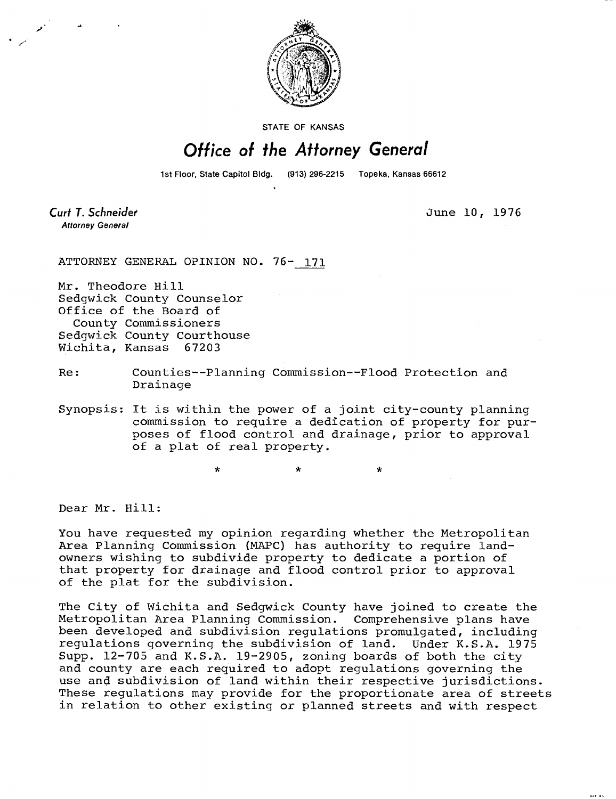

STATE OF KANSAS

## Office of the Attorney General

1st Floor, State Capitol Bidg.

Curt T. Schneider **Attorney General** 

June 10, 1976

ATTORNEY GENERAL OPINION NO. 76- 171

Mr. Theodore Hill Sedgwick County Counselor Office of the Board of County Commissioners Sedgwick County Courthouse Wichita, Kansas 67203

## Re: Counties--Planning Commission--Flood Protection and Drainage

Synopsis: It is within the power of a joint city-county planning commission to require a dedication of property for purposes of flood control and drainage, prior to approval of a plat of real property.

 $\star$ 

Dear Mr. Hill:

You have requested my opinion regarding whether the Metropolitan Area Planning Commission (MAPC) has authority to require landowners wishing to subdivide property to dedicate a portion of that property for drainage and flood control prior to approval of the plat for the subdivision.

The City of Wichita and Sedgwick County have joined to create the Metropolitan Area Planning Commission. Comprehensive plans have been developed and subdivision regulations promulgated, including regulations governing the subdivision of land. Under K.S.A. 1975 Supp. 12-705 and K.S.A. 19-2905, zoning boards of both the city and county are each required to adopt regulations governing the use and subdivision of land within their respective jurisdictions. These regulations may provide for the proportionate area of streets in relation to other existing or planned streets and with respect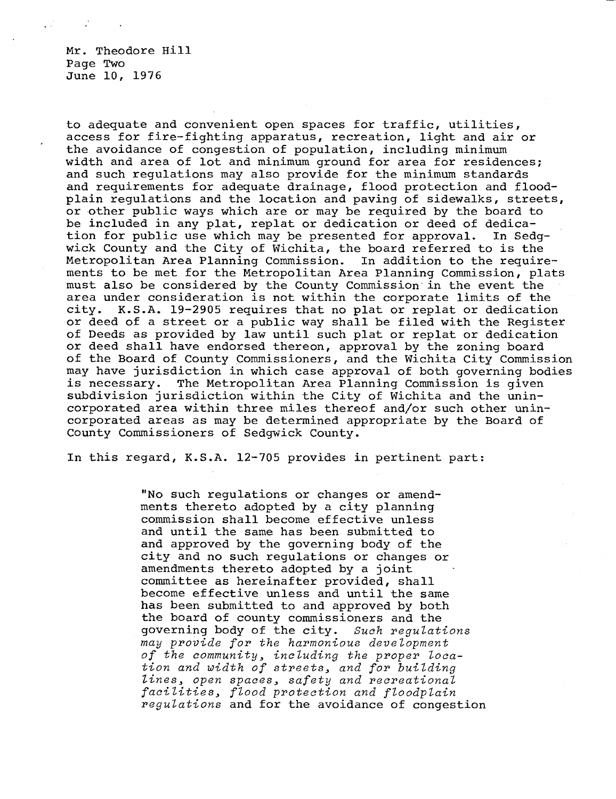Mr. Theodore Hill Page Two June 10, 1976

to adequate and convenient open spaces for traffic, utilities, access for fire-fighting apparatus, recreation, light and air or the avoidance of congestion of population, including minimum width and area of lot and minimum ground for area for residences; and such regulations may also provide for the minimum standards and requirements for adequate drainage, flood protection and floodplain regulations and the location and paving of sidewalks, streets, or other public ways which are or may be required by the board to be included in any plat, replat or dedication or deed of dedication for public use which may be presented for approval. In Sedgwick County and the City of Wichita, the board referred to is the Metropolitan Area Planning Commission. In addition to the requirements to be met for the Metropolitan Area Planning Commission, plats must also be considered by the County Commission in the event the area under consideration is not within the corporate limits of the city. K.S.A. 19-2905 requires that no plat or replat or dedication or deed of a street or a public way shall be filed with the Register of Deeds as provided by law until such plat or replat or dedication or deed shall have endorsed thereon, approval by the zoning board of the Board of County Commissioners, and the Wichita City Commission may have jurisdiction in which case approval of both governing bodies is necessary. The Metropolitan Area Planning Commission is given subdivision jurisdiction within the City of Wichita and the unincorporated area within three miles thereof and/or such other unincorporated areas as may be determined appropriate by the Board of County Commissioners of Sedgwick County.

In this regard, K.S.A. 12-705 provides in pertinent part:

"No such regulations or changes or amendments thereto adopted by a city planning commission shall become effective unless and until the same has been submitted to and approved by the governing body of the city and no such regulations or changes or amendments thereto adopted by a joint committee as hereinafter provided, shall become effective unless and until the same has been submitted to and approved by both the board of county commissioners and the governing body of the city. Such regulations may provide for the harmonious development of the community, including the proper location and width of streets, and for building lines, open spaces, safety and recreational facilities, flood protection and floodplain regulations and for the avoidance of congestion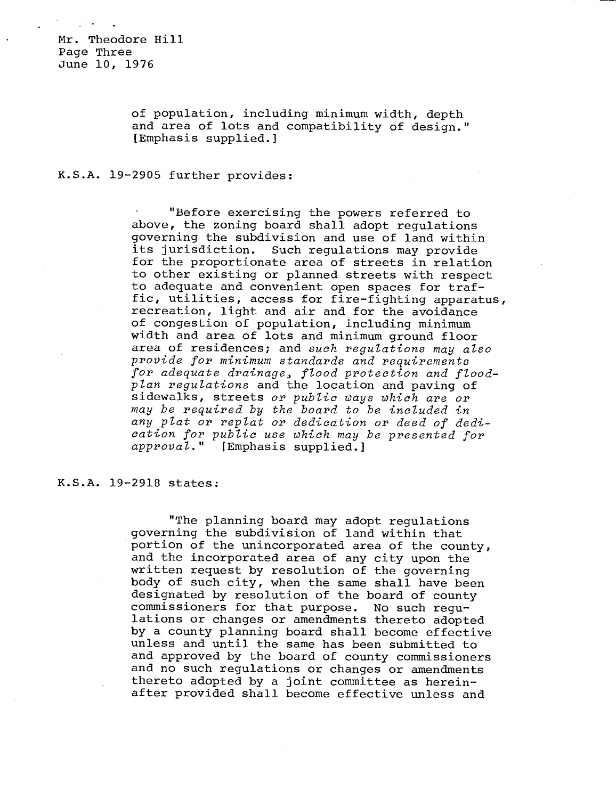Mr. Theodore Hill Page Three June 10, 1976

> of population, including minimum width, depth and area of lots and compatibility of design." [Emphasis supplied.]

## K.S.A. 19-2905 further provides:

"Before exercising the powers referred to above, the zoning board shall adopt regulations governing the subdivision and use of land within its jurisdiction. Such regulations may provide for the proportionate area of streets in relation to other existing or planned streets with respect to adequate and convenient open spaces for traffic, utilities, access for fire-fighting apparatus, recreation, light and air and for the avoidance of congestion of population, including minimum width and area of lots and minimum ground floor area of residences; and such regulations may also provide for minimum standards and requirements for adequate drainage, flood protection and floodplan regulations and the location and paving of sidewalks, streets or public ways which are or may be required by the board to be included in any plat or replat or dedication or deed of dedication for public use which may be presented for approval." [Emphasis supplied.]

## K.S.A. 19-2918 states:

"The planning board may adopt regulations governing the subdivision of land within that portion of the unincorporated area of the county, and the incorporated area of any city upon the written request by resolution of the governing body of such city, when the same shall have been designated by resolution of the board of county commissioners for that purpose. No such regulations or changes or amendments thereto adopted by a county planning board shall become effective unless and until the same has been submitted to and approved by the board of county commissioners and no such regulations or changes or amendments thereto adopted by a joint committee as hereinafter provided shall become effective unless and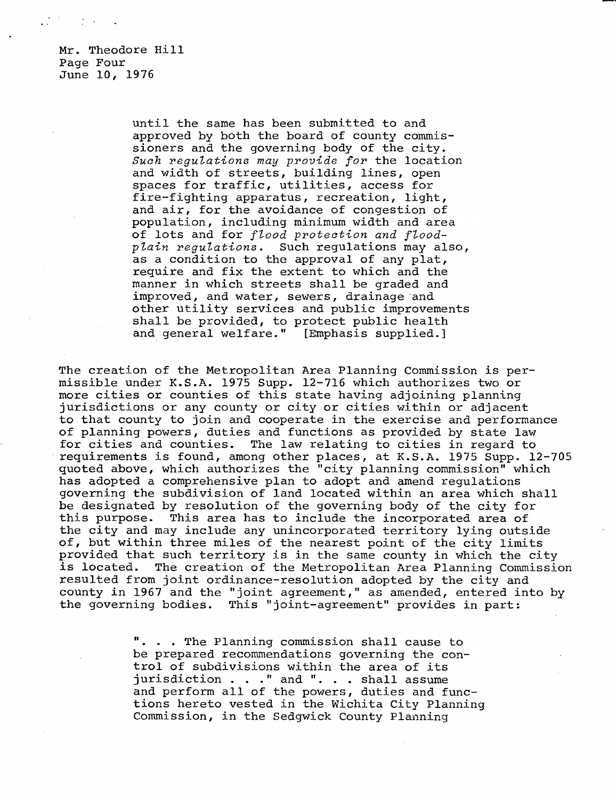Mr. Theodore Hill Page Four June 10, 1976

> until the same has been submitted to and approved by both the board of county commissioners and the governing body of the city. Such regulations may provide for the location and width of streets, building lines, open spaces for traffic, utilities, access for fire-fighting apparatus, recreation, light, and air, for the avoidance of congestion of population, including minimum width and area of lots and for flood protection and floodplain regulations. Such regulations may also, as a condition to the approval of any plat, require and fix the extent to which and the manner in which streets shall be graded and improved, and water, sewers, drainage and other utility services and public improvements shall be provided, to protect public health and general welfare." [Emphasis supplied.]

The creation of the Metropolitan Area Planning Commission is permissible under K.S.A. 1975 Supp. 12-716 which authorizes two or more cities or counties of this state having adjoining planning jurisdictions or any county or city or cities within or adjacent to that county to join and cooperate in the exercise and performance of planning powers, duties and functions as provided by state law for cities and counties. The law relating to cities in regard to requirements is found, among other places, at K.S.A. 1975 Supp. 12-705 quoted above, which authorizes the "city planning commission" which has adopted a comprehensive plan to adopt and amend regulations governing the subdivision of land located within an area which shall be designated by resolution of the governing body of the city for this purpose. This area has to include the incorporated area of the city and may include any unincorporated territory lying outside of, but within three miles of the nearest point of the city limits provided that such territory is in the same county in which the city is located. The creation of the Metropolitan Area Planning Commission resulted from joint ordinance-resolution adopted by the city and county in 1967 and the "joint agreement," as amended, entered into by the governing bodies. This "joint-agreement" provides in part:

> . . . The Planning commission shall cause to be prepared recommendations governing the control of subdivisions within the area of its jurisdiction . . ." and ". . . shall assume and perform all of the powers, duties and functions hereto vested in the Wichita City Planning Commission, in the Sedgwick County Planning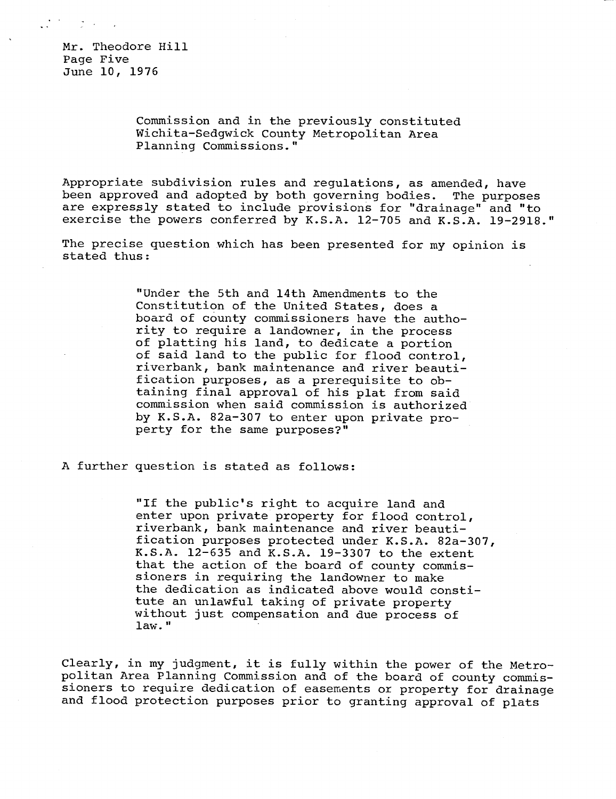Mr. Theodore Hill Page Five June 10, 1976

 $\mathcal{L}^{\mathcal{A}}$  and  $\mathcal{L}^{\mathcal{A}}$  and  $\mathcal{L}^{\mathcal{A}}$  and  $\mathcal{L}^{\mathcal{A}}$ 

Commission and in the previously constituted Wichita-Sedgwick County Metropolitan Area Planning Commissions."

Appropriate subdivision rules and regulations, as amended, have been approved and adopted by both governing bodies. The purposes are expressly stated to include provisions for "drainage" and "to exercise the powers conferred by K.S.A. 12-705 and K.S.A. 19-2918."

The precise question which has been presented for my opinion is stated thus:

> "Under the 5th and 14th Amendments to the Constitution of the United States, does a board of county commissioners have the authority to require a landowner, in the process of platting his land, to dedicate a portion of said land to the public for flood control, riverbank, bank maintenance and river beautification purposes, as a prerequisite to obtaining final approval of his plat from said commission when said commission is authorized by K.S.A. 82a-307 to enter upon private property for the same purposes?"

A further question is stated as follows:

"If the public's right to acquire land and enter upon private property for flood control, riverbank, bank maintenance and river beautification purposes protected under K.S.A. 82a-307, K.S.A. 12-635 and K.S.A. 19-3307 to the extent that the action of the board of county commissioners in requiring the landowner to make the dedication as indicated above would constitute an unlawful taking of private property without just compensation and due process of law."

Clearly, in my judgment, it is fully within the power of the Metropolitan Area Planning Commission and of the board of county commissioners to require dedication of easements or property for drainage and flood protection purposes prior to granting approval of plats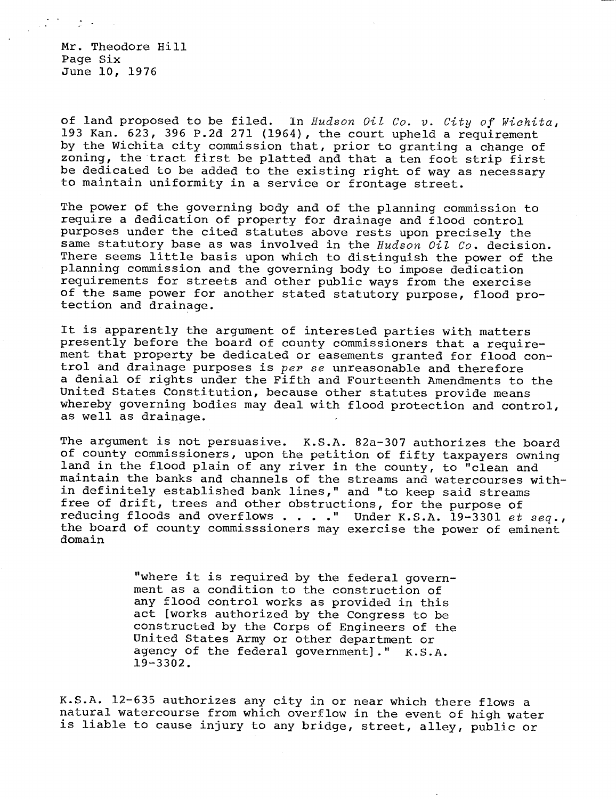Mr. Theodore Hill Page Six June 10, 1976

of land proposed to be filed. In Hudson Oil Co. v. City of Wichita, 193 Kan. 623, 396 P.2d 271 (1964), the court upheld a requirement by the Wichita city commission that, prior to granting a change of zoning, the tract first be platted and that a ten foot strip first be dedicated to be added to the existing right of way as necessary to maintain uniformity in a service or frontage street.

The power of the governing body and of the planning commission to require a dedication of property for drainage and flood control purposes under the cited statutes above rests upon precisely the same statutory base as was involved in the Hudson Oil Co. decision. There seems little basis upon which to distinguish the power of the planning commission and the governing body to impose dedication requirements for streets and other public ways from the exercise of the same power for another stated statutory purpose, flood protection and drainage.

It is apparently the argument of interested parties with matters presently before the board of county commissioners that a requirement that property be dedicated or easements granted for flood control and drainage purposes is per se unreasonable and therefore a denial of rights under the Fifth and Fourteenth Amendments to the United States Constitution, because other statutes provide means whereby governing bodies may deal with flood protection and control, as well as drainage.

The argument is not persuasive. K.S.A. 82a-307 authorizes the board of county commissioners, upon the petition of fifty taxpayers owning land in the flood plain of any river in the county, to "clean and maintain the banks and channels of the streams and watercourses within definitely established bank lines," and "to keep said streams free of drift, trees and other obstructions, for the purpose of reducing floods and overflows . . . . " Under K.S.A. 19-3301 et seq., the board of county commisssioners may exercise the power of eminent domain

> "where it is required by the federal government as a condition to the construction of any flood control works as provided in this act [works authorized by the Congress to be constructed by the Corps of Engineers of the United States Army or other department or agency of the federal government]." K.S.A. 19-3302.

K.S.A. 12-635 authorizes any city in or near which there flows a natural watercourse from which overflow in the event of high water is liable to cause injury to any bridge, street, alley, public or